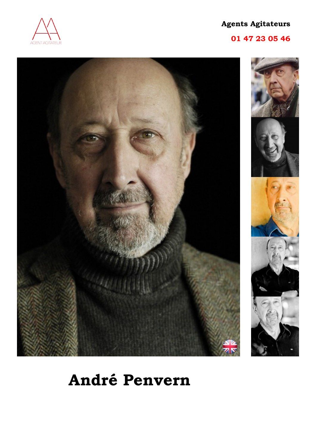

# **01 47 23 05 46**





# **André Penvern**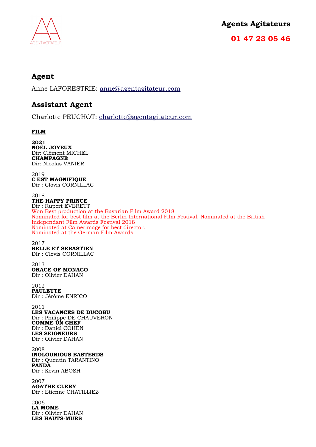

**01 47 23 05 46**

# **Agent**

Anne LAFORESTRIE: [anne@agentagitateur.com](mailto:anne@agentagitateur.com)

# **Assistant Agent**

Charlotte PEUCHOT: [charlotte@agentagitateur.com](mailto:charlotte@agentagitateur.com)

#### **FILM**

**2021 NOËL JOYEUX** Dir: Clément MICHEL **CHAMPAGNE** Dir: Nicolas VANIER

2019 **C'EST MAGNIFIQUE** Dir : Clovis CORNILLAC

#### 2018

**THE HAPPY PRINCE** Dir : Rupert EVERETT Won Best production at the Bavarian Film Award 2018 Nominated for best film at the Berlin International Film Festival. Nominated at the British Independant Film Awards Festival 2018 Nominated at Camerimage for best director. Nominated at the German Film Awards

2017 **BELLE ET SEBASTIEN** DIr : Clovis CORNILLAC

2013 **GRACE OF MONACO** Dir : Olivier DAHAN

2012 **PAULETTE** Dir : Jérôme ENRICO

2011 **LES VACANCES DE DUCOBU** Dir : Philippe DE CHAUVERON **COMME UN CHEF** Dir : Daniel COHEN **LES SEIGNEURS** Dir : Olivier DAHAN

2008 **INGLOURIOUS BASTERDS** Dir : Quentin TARANTINO **PANDA** Dir : Kevin ABOSH

2007 **AGATHE CLERY** Dir : Etienne CHATILLIEZ

2006 **LA MOME** Dir : Olivier DAHAN **LES HAUTS-MURS**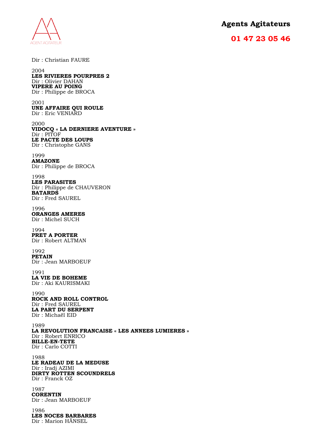

# **01 47 23 05 46**

Dir : Christian FAURE

#### 2004 **LES RIVIERES POURPRES 2** Dir : Olivier DAHAN **VIPERE AU POING** Dir : Philippe de BROCA

2001 **UNE AFFAIRE QUI ROULE** Dir : Eric VENIARD

2000 **VIDOCQ « LA DERNIERE AVENTURE »** Dir : PITOF **LE PACTE DES LOUPS** Dir : Christophe GANS

1999 **AMAZONE** Dir : Philippe de BROCA

1998 **LES PARASITES** Dir : Philippe de CHAUVERON **BATARDS** Dir : Fred SAUREL

1996 **ORANGES AMERES** Dir : Michel SUCH

1994 **PRET A PORTER** Dir : Robert ALTMAN

1992 **PETAIN** Dir : Jean MARBOEUF

1991 **LA VIE DE BOHEME**  Dir : Aki KAURISMAKI

1990 **ROCK AND ROLL CONTROL** Dir : Fred SAUREL **LA PART DU SERPENT** Dir : Michaël EID

1989 **LA REVOLUTION FRANCAISE « LES ANNEES LUMIERES »** Dir : Robert ENRICO **BILLE-EN-TETE**  Dir : Carlo COTTI

1988 **LE RADEAU DE LA MEDUSE** Dir : Iradj AZIMI **DIRTY ROTTEN SCOUNDRELS** Dir : Franck OZ

1987 **CORENTIN** Dir : Jean MARBOEUF

1986 **LES NOCES BARBARES** Dir : Marion HÄNSEL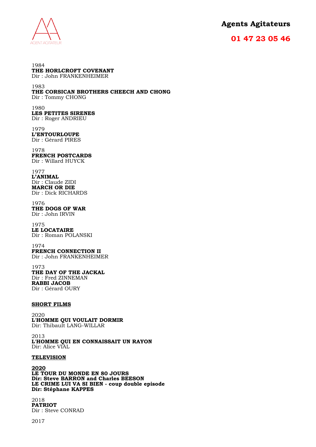

### **01 47 23 05 46**

1984 **THE HORLCROFT COVENANT** Dir : John FRANKENHEIMER 1983

#### **THE CORSICAN BROTHERS CHEECH AND CHONG** Dir : Tommy CHONG

1980 **LES PETITES SIRENES** Dir : Roger ANDRIEU

1979 **L'ENTOURLOUPE** Dir : Gérard PIRES

1978 **FRENCH POSTCARDS** Dir : Willard HUYCK

1977 **L'ANIMAL** Dir : Claude ZIDI **MARCH OR DIE** Dir : Dick RICHARDS

1976 **THE DOGS OF WAR**  Dir : John IRVIN

1975 **LE LOCATAIRE**  Dir : Roman POLANSKI

1974 **FRENCH CONNECTION II** Dir : John FRANKENHEIMER

1973 **THE DAY OF THE JACKAL** Dir : Fred ZINNEMAN **RABBI JACOB**  Dir : Gérard OURY

#### **SHORT FILMS**

2020 **L'HOMME QUI VOULAIT DORMIR** Dir: Thibault LANG-WILLAR

2013 **L'HOMME QUI EN CONNAISSAIT UN RAYON** Dir: Alice VIAL

#### **TELEVISION**

**2020**

**LE TOUR DU MONDE EN 80 JOURS Dir: Steve BARRON and Charles BEESON LE CRIME LUI VA SI BIEN - coup double episode Dir: Stéphane KAPPES**

2018 **PATRIOT** Dir : Steve CONRAD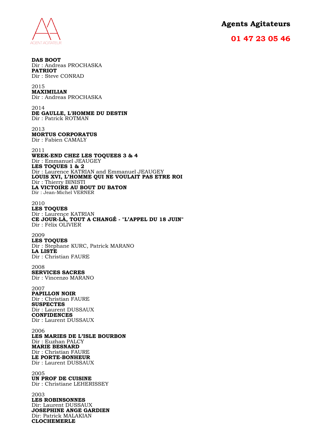**AGENT AGITATEUR** 

**DAS BOOT**

## **Agents Agitateurs**

#### **01 47 23 05 46**

Dir : Andreas PROCHASKA **PATRIOT** Dir : Steve CONRAD 2015 **MAXIMILIAN** Dir : Andreas PROCHASKA 2014 **DE GAULLE, L'HOMME DU DESTIN** Dir : Patrick ROTMAN 2013 **MORTUS CORPORATUS** Dir : Fabien CAMALY 2011 **WEEK-END CHEZ LES TOQUEES 3 & 4**  Dir : Emmanuel JEAUGEY **LES TOQUES 1 & 2**  Dir : Laurence KATRIAN and Emmanuel JEAUGEY **LOUIS XVI, L'HOMME QUI NE VOULAIT PAS ETRE ROI** Dir : Thierry BINISTI **LA VICTOIRE AU BOUT DU BATON** Dir : Jean-Michel VERNER 2010 **LES TOQUES** Dir : Laurence KATRIAN **CE JOUR-LÀ, TOUT A CHANGÉ - "L'APPEL DU 18 JUIN"** Dir : Félix OLIVIER 2009 **LES TOQUES**  Dir : Stephane KURC, Patrick MARANO **LA LISTE**  Dir : Christian FAURE 2008 **SERVICES SACRES**  Dir : Vincenzo MARANO 2007 **PAPILLON NOIR** Dir : Christian FAURE **SUSPECTES** Dir : Laurent DUSSAUX **CONFIDENCES** Dir : Laurent DUSSAUX 2006 **LES MARIES DE L'ISLE BOURBON** Dir : Euzhan PALCY **MARIE BESNARD** Dir : Christian FAURE **LE PORTE-BONHEUR** Dir : Laurent DUSSAUX 2005 **UN PROF DE CUISINE**  Dir : Christiane LEHERISSEY 2003 **LES ROBINSONNES** Dir: Laurent DUSSAUX **JOSEPHINE ANGE GARDIEN** Dir: Patrick MALAKIAN **CLOCHEMERLE**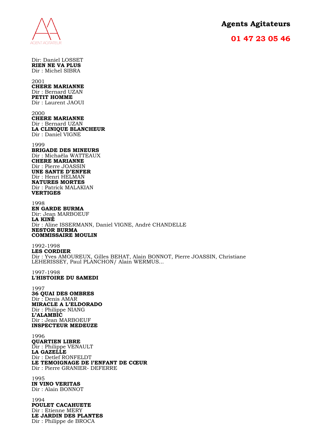# **AGENT AGITATEUR**

# **Agents Agitateurs**

#### **01 47 23 05 46**

Dir: Daniel LOSSET **RIEN NE VA PLUS** Dir : Michel SIBRA 2001 **CHERE MARIANNE**

Dir : Bernard UZAN **PETIT HOMME** Dir : Laurent JAOUI

2000 **CHERE MARIANNE** Dir : Bernard UZAN **LA CLINIQUE BLANCHEUR**  Dir : Daniel VIGNE

1999 **BRIGADE DES MINEURS** Dir : Michaëla WATTEAUX **CHERE MARIANNE**  Dir : Pierre JOASSIN **UNE SANTE D'ENFER** Dir : Henri HELMAN **NATURES MORTES** Dir : Patrick MALAKIAN **VERTIGES**

1998 **EN GARDE BURMA** Dir: Jean MARBOEUF **LA KINÉ** Dir : Aline ISSERMANN, Daniel VIGNE, André CHANDELLE **NESTOR BURMA COMMISSAIRE MOULIN**

1992-1998 **LES CORDIER** Dir : Yves AMOUREUX, Gilles BEHAT, Alain BONNOT, Pierre JOASSIN, Christiane LEHERISSEY, Paul PLANCHON/ Alain WERMUS...

1997-1998 **L'HISTOIRE DU SAMEDI**

1997 **36 QUAI DES OMBRES** Dir : Denis AMAR **MIRACLE A L'ELDORADO** Dir : Philippe NIANG **L'ALAMBIC** Dir : Jean MARBOEUF **INSPECTEUR MEDEUZE**

1996 **QUARTIEN LIBRE**  Dir : Philippe VENAULT **LA GAZELLE** Dir : Detlef RONFELDT **LE TEMOIGNAGE DE l'ENFANT DE CŒUR** Dir : Pierre GRANIER- DEFERRE

1995 **IN VINO VERITAS** Dir : Alain BONNOT

1994 **POULET CACAHUETE**  Dir : Etienne MERY **LE JARDIN DES PLANTES** Dir : Philippe de BROCA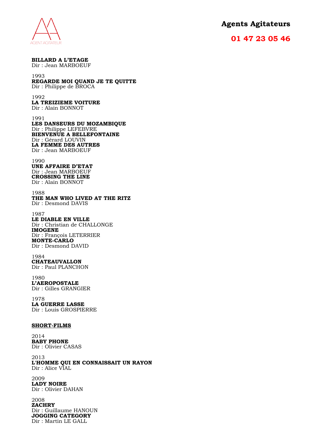

#### **01 47 23 05 46**

**BILLARD A L'ETAGE** Dir : Jean MARBOEUF

#### 1993

#### **REGARDE MOI QUAND JE TE QUITTE** Dir : Philippe de BROCA

1992 **LA TREIZIEME VOITURE** Dir : Alain BONNOT

1991 **LES DANSEURS DU MOZAMBIQUE** Dir : Philippe LEFEBVRE **BIENVENUE A BELLEFONTAINE** Dir : Gérard LOUVIN **LA FEMME DES AUTRES** Dir : Jean MARBOEUF

1990 **UNE AFFAIRE D'ETAT** Dir : Jean MARBOEUF **CROSSING THE LINE** Dir : Alain BONNOT

1988 **THE MAN WHO LIVED AT THE RITZ**

Dir : Desmond DAVIS

#### 1987

**LE DIABLE EN VILLE** Dir : Christian de CHALLONGE **IMOGENE** Dir : François LETERRIER **MONTE-CARLO**  Dir : Desmond DAVID

#### 1984 **CHATEAUVALLON** Dir : Paul PLANCHON

1980 **L'AEROPOSTALE** Dir : Gilles GRANGIER

1978 **LA GUERRE LASSE** Dir : Louis GROSPIERRE

#### **SHORT-FILMS**

2014 **BABY PHONE** Dir : Olivier CASAS

2013 **L'HOMME QUI EN CONNAISSAIT UN RAYON** Dir : Alice VIAL

2009 **LADY NOIRE** Dir : Olivier DAHAN

2008 **ZACHRY** Dir : Guillaume HANOUN **JOGGING CATEGORY** Dir : Martin LE GALL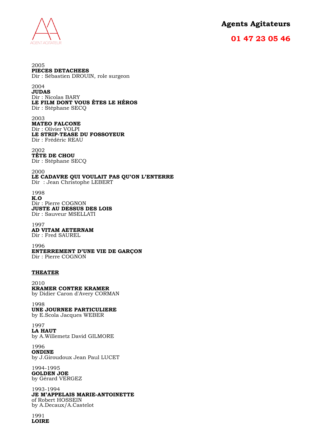

### **01 47 23 05 46**

2005 **PIECES DETACHEES** Dir : Sébastien DROUIN, role surgeon 2004 **JUDAS** Dir : Nicolas BARY **LE FILM DONT VOUS ÊTES LE HÉROS** Dir : Stéphane SECQ 2003 **MATEO FALCONE** Dir : Olivier VOLPI **LE STRIP-TEASE DU FOSSOYEUR** Dir : Frédéric REAU 2002 **TÊTE DE CHOU** Dir : Stéphane SECQ 2000 **LE CADAVRE QUI VOULAIT PAS QU'ON L'ENTERRE** Dir : Jean Christophe LEBERT 1998 **K.O** Dir : Pierre COGNON **JUSTE AU DESSUS DES LOIS**  Dir : Sauveur MSELLATI 1997 **AD VITAM AETERNAM**  Dir : Fred SAUREL 1996 **ENTERREMENT D'UNE VIE DE GARÇON**  Dir : Pierre COGNON **THEATER** 2010 **KRAMER CONTRE KRAMER** by Didier Caron d'Avery CORMAN 1998 **UNE JOURNEE PARTICULIERE** by E.Scola Jacques WEBER 1997 **LA HAUT** by A.Willemetz David GILMORE 1996 **ONDINE**  by J.Giroudoux Jean Paul LUCET 1994-1995 **GOLDEN JOE** by Gérard VERGEZ 1993-1994

**JE M'APPELAIS MARIE-ANTOINETTE** of Robert HOSSEIN by A.Decaux/A.Castelot

1991 **LOIRE**